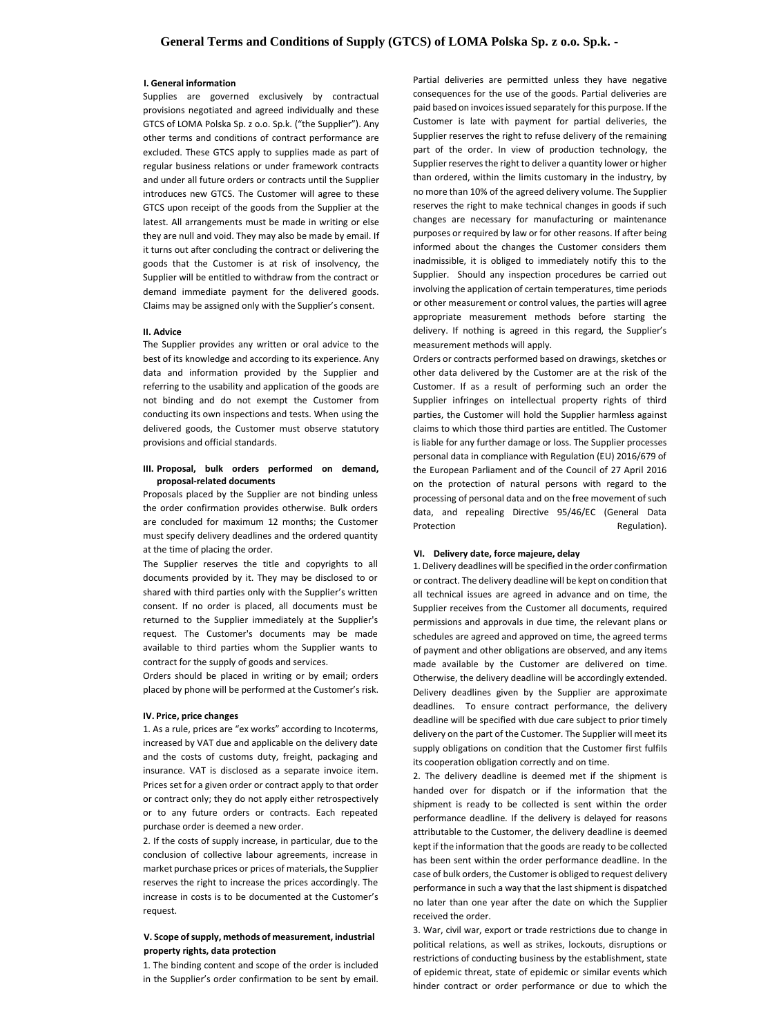#### **I. General information**

Supplies are governed exclusively by contractual provisions negotiated and agreed individually and these GTCS of LOMA Polska Sp. z o.o. Sp.k. ("the Supplier"). Any other terms and conditions of contract performance are excluded. These GTCS apply to supplies made as part of regular business relations or under framework contracts and under all future orders or contracts until the Supplier introduces new GTCS. The Customer will agree to these GTCS upon receipt of the goods from the Supplier at the latest. All arrangements must be made in writing or else they are null and void. They may also be made by email. If it turns out after concluding the contract or delivering the goods that the Customer is at risk of insolvency, the Supplier will be entitled to withdraw from the contract or demand immediate payment for the delivered goods. Claims may be assigned only with the Supplier's consent.

#### **II. Advice**

The Supplier provides any written or oral advice to the best of its knowledge and according to its experience. Any data and information provided by the Supplier and referring to the usability and application of the goods are not binding and do not exempt the Customer from conducting its own inspections and tests. When using the delivered goods, the Customer must observe statutory provisions and official standards.

# **III. Proposal, bulk orders performed on demand, proposal-related documents**

Proposals placed by the Supplier are not binding unless the order confirmation provides otherwise. Bulk orders are concluded for maximum 12 months; the Customer must specify delivery deadlines and the ordered quantity at the time of placing the order.

The Supplier reserves the title and copyrights to all documents provided by it. They may be disclosed to or shared with third parties only with the Supplier's written consent. If no order is placed, all documents must be returned to the Supplier immediately at the Supplier's request. The Customer's documents may be made available to third parties whom the Supplier wants to contract for the supply of goods and services.

Orders or contracts performed based on drawings, sketches or other data delivered by the Customer are at the risk of the Customer. If as a result of performing such an order the Supplier infringes on intellectual property rights of third parties, the Customer will hold the Supplier harmless against claims to which those third parties are entitled. The Customer is liable for any further damage or loss. The Supplier processes personal data in compliance with Regulation (EU) 2016/679 of the European Parliament and of the Council of 27 April 2016 on the protection of natural persons with regard to the processing of personal data and on the free movement of such data, and repealing Directive 95/46/EC (General Data Protection **Regulation**).

Orders should be placed in writing or by email; orders placed by phone will be performed at the Customer's risk.

# **IV. Price, price changes**

1. As a rule, prices are "ex works" according to Incoterms, increased by VAT due and applicable on the delivery date and the costs of customs duty, freight, packaging and insurance. VAT is disclosed as a separate invoice item. Prices set for a given order or contract apply to that order or contract only; they do not apply either retrospectively or to any future orders or contracts. Each repeated

purchase order is deemed a new order.

2. If the costs of supply increase, in particular, due to the conclusion of collective labour agreements, increase in market purchase prices or prices of materials, the Supplier reserves the right to increase the prices accordingly. The increase in costs is to be documented at the Customer's request.

# **V. Scope of supply, methods of measurement, industrial property rights, data protection**

1. The binding content and scope of the order is included in the Supplier's order confirmation to be sent by email. Partial deliveries are permitted unless they have negative consequences for the use of the goods. Partial deliveries are paid based on invoices issued separately for this purpose. If the Customer is late with payment for partial deliveries, the Supplier reserves the right to refuse delivery of the remaining part of the order. In view of production technology, the Supplier reserves the right to deliver a quantity lower or higher than ordered, within the limits customary in the industry, by no more than 10% of the agreed delivery volume. The Supplier reserves the right to make technical changes in goods if such changes are necessary for manufacturing or maintenance purposes or required by law or for other reasons. If after being informed about the changes the Customer considers them inadmissible, it is obliged to immediately notify this to the Supplier. Should any inspection procedures be carried out involving the application of certain temperatures, time periods or other measurement or control values, the parties will agree appropriate measurement methods before starting the delivery. If nothing is agreed in this regard, the Supplier's measurement methods will apply.

#### **VI. Delivery date, force majeure, delay**

1. Delivery deadlines will be specified in the order confirmation or contract. The delivery deadline will be kept on condition that all technical issues are agreed in advance and on time, the Supplier receives from the Customer all documents, required permissions and approvals in due time, the relevant plans or schedules are agreed and approved on time, the agreed terms of payment and other obligations are observed, and any items made available by the Customer are delivered on time. Otherwise, the delivery deadline will be accordingly extended. Delivery deadlines given by the Supplier are approximate deadlines. To ensure contract performance, the delivery deadline will be specified with due care subject to prior timely delivery on the part of the Customer. The Supplier will meet its supply obligations on condition that the Customer first fulfils its cooperation obligation correctly and on time.

2. The delivery deadline is deemed met if the shipment is handed over for dispatch or if the information that the shipment is ready to be collected is sent within the order performance deadline. If the delivery is delayed for reasons attributable to the Customer, the delivery deadline is deemed kept if the information that the goods are ready to be collected has been sent within the order performance deadline. In the case of bulk orders, the Customer is obliged to request delivery performance in such a way that the last shipment is dispatched no later than one year after the date on which the Supplier received the order.

3. War, civil war, export or trade restrictions due to change in political relations, as well as strikes, lockouts, disruptions or restrictions of conducting business by the establishment, state of epidemic threat, state of epidemic or similar events which hinder contract or order performance or due to which the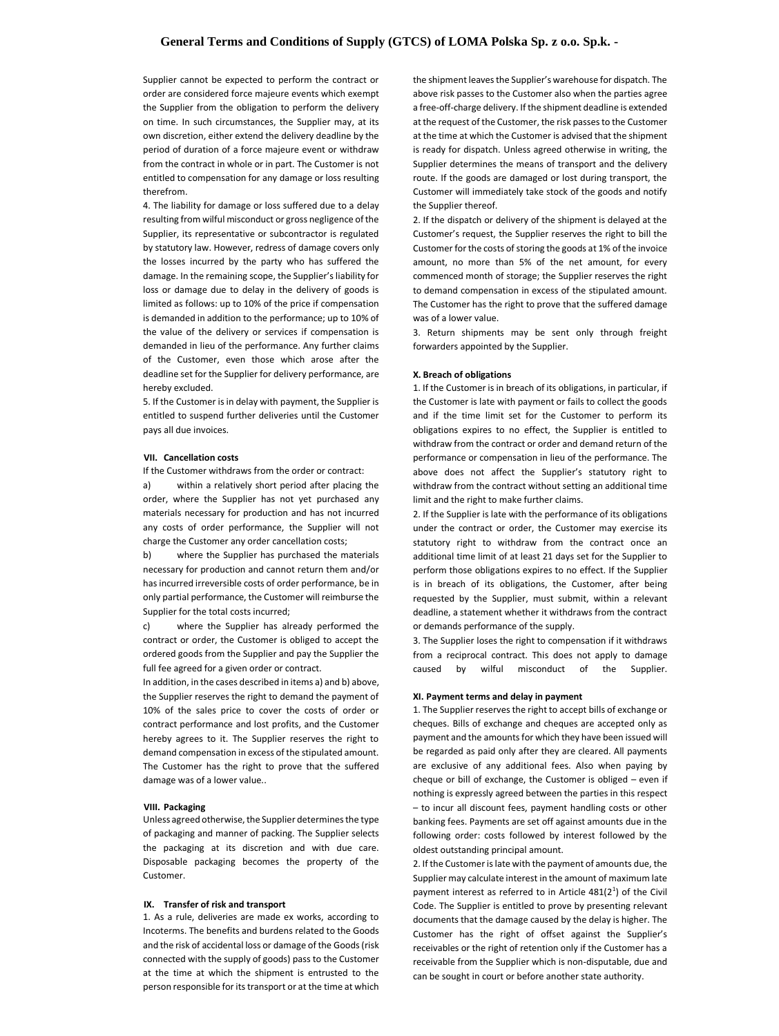# **General Terms and Conditions of Supply (GTCS) of LOMA Polska Sp. z o.o. Sp.k. -**

Supplier cannot be expected to perform the contract or order are considered force majeure events which exempt the Supplier from the obligation to perform the delivery on time. In such circumstances, the Supplier may, at its own discretion, either extend the delivery deadline by the period of duration of a force majeure event or withdraw from the contract in whole or in part. The Customer is not entitled to compensation for any damage or loss resulting therefrom.

4. The liability for damage or loss suffered due to a delay resulting from wilful misconduct or gross negligence of the Supplier, its representative or subcontractor is regulated by statutory law. However, redress of damage covers only the losses incurred by the party who has suffered the damage. In the remaining scope, the Supplier's liability for loss or damage due to delay in the delivery of goods is limited as follows: up to 10% of the price if compensation is demanded in addition to the performance; up to 10% of the value of the delivery or services if compensation is demanded in lieu of the performance. Any further claims of the Customer, even those which arose after the deadline set for the Supplier for delivery performance, are hereby excluded.

5. If the Customer is in delay with payment, the Supplier is entitled to suspend further deliveries until the Customer pays all due invoices.

#### **VII. Cancellation costs**

If the Customer withdraws from the order or contract:

a) within a relatively short period after placing the order, where the Supplier has not yet purchased any materials necessary for production and has not incurred any costs of order performance, the Supplier will not charge the Customer any order cancellation costs;

b) where the Supplier has purchased the materials necessary for production and cannot return them and/or has incurred irreversible costs of order performance, be in only partial performance, the Customer will reimburse the Supplier for the total costs incurred;

c) where the Supplier has already performed the contract or order, the Customer is obliged to accept the ordered goods from the Supplier and pay the Supplier the full fee agreed for a given order or contract.

In addition, in the cases described in items a) and b) above, the Supplier reserves the right to demand the payment of 10% of the sales price to cover the costs of order or contract performance and lost profits, and the Customer hereby agrees to it. The Supplier reserves the right to demand compensation in excess of the stipulated amount. The Customer has the right to prove that the suffered damage was of a lower value..

# **VIII. Packaging**

Unless agreed otherwise, the Supplier determines the type

of packaging and manner of packing. The Supplier selects the packaging at its discretion and with due care. Disposable packaging becomes the property of the Customer.

#### **IX. Transfer of risk and transport**

1. As a rule, deliveries are made ex works, according to Incoterms. The benefits and burdens related to the Goods and the risk of accidental loss or damage of the Goods (risk connected with the supply of goods) pass to the Customer at the time at which the shipment is entrusted to the person responsible for its transport or at the time at which

the shipment leaves the Supplier's warehouse for dispatch. The above risk passes to the Customer also when the parties agree a free-off-charge delivery. If the shipment deadline is extended at the request of the Customer, the risk passes to the Customer at the time at which the Customer is advised that the shipment is ready for dispatch. Unless agreed otherwise in writing, the Supplier determines the means of transport and the delivery route. If the goods are damaged or lost during transport, the Customer will immediately take stock of the goods and notify the Supplier thereof.

2. If the dispatch or delivery of the shipment is delayed at the Customer's request, the Supplier reserves the right to bill the Customer for the costs of storing the goods at 1% of the invoice amount, no more than 5% of the net amount, for every commenced month of storage; the Supplier reserves the right to demand compensation in excess of the stipulated amount. The Customer has the right to prove that the suffered damage was of a lower value.

3. Return shipments may be sent only through freight forwarders appointed by the Supplier.

#### **X. Breach of obligations**

1. If the Customer is in breach of its obligations, in particular, if the Customer is late with payment or fails to collect the goods and if the time limit set for the Customer to perform its obligations expires to no effect, the Supplier is entitled to withdraw from the contract or order and demand return of the performance or compensation in lieu of the performance. The above does not affect the Supplier's statutory right to withdraw from the contract without setting an additional time limit and the right to make further claims.

2. If the Supplier is late with the performance of its obligations under the contract or order, the Customer may exercise its statutory right to withdraw from the contract once an additional time limit of at least 21 days set for the Supplier to perform those obligations expires to no effect. If the Supplier is in breach of its obligations, the Customer, after being requested by the Supplier, must submit, within a relevant deadline, a statement whether it withdraws from the contract or demands performance of the supply.

3. The Supplier loses the right to compensation if it withdraws from a reciprocal contract. This does not apply to damage caused by wilful misconduct of the Supplier.

#### **XI. Payment terms and delay in payment**

1. The Supplier reserves the right to accept bills of exchange or cheques. Bills of exchange and cheques are accepted only as payment and the amounts for which they have been issued will be regarded as paid only after they are cleared. All payments are exclusive of any additional fees. Also when paying by cheque or bill of exchange, the Customer is obliged – even if nothing is expressly agreed between the parties in this respect – to incur all discount fees, payment handling costs or other banking fees. Payments are set off against amounts due in the following order: costs followed by interest followed by the oldest outstanding principal amount. 2. If the Customer is late with the payment of amounts due, the Supplier may calculate interest in the amount of maximum late payment interest as referred to in Article  $481(2^1)$  of the Civil Code. The Supplier is entitled to prove by presenting relevant documents that the damage caused by the delay is higher. The Customer has the right of offset against the Supplier's receivables or the right of retention only if the Customer has a receivable from the Supplier which is non-disputable, due and can be sought in court or before another state authority.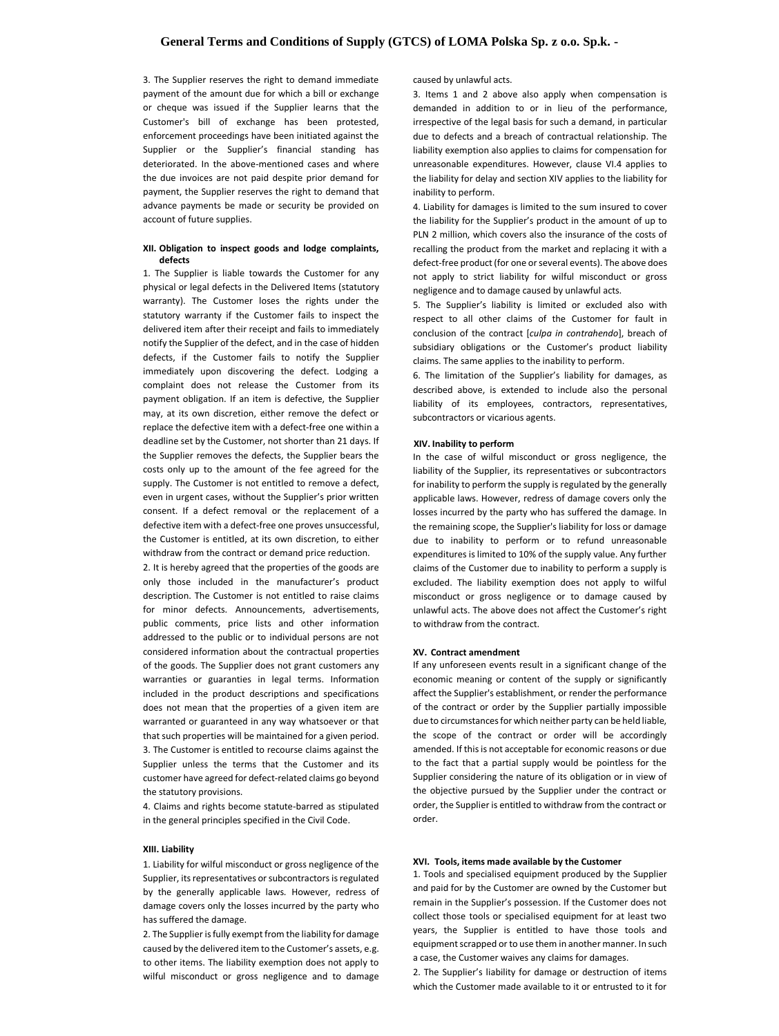3. The Supplier reserves the right to demand immediate payment of the amount due for which a bill or exchange or cheque was issued if the Supplier learns that the Customer's bill of exchange has been protested, enforcement proceedings have been initiated against the Supplier or the Supplier's financial standing has deteriorated. In the above-mentioned cases and where the due invoices are not paid despite prior demand for payment, the Supplier reserves the right to demand that advance payments be made or security be provided on account of future supplies.

# **XII. Obligation to inspect goods and lodge complaints, defects**

1. The Supplier is liable towards the Customer for any physical or legal defects in the Delivered Items (statutory warranty). The Customer loses the rights under the statutory warranty if the Customer fails to inspect the delivered item after their receipt and fails to immediately notify the Supplier of the defect, and in the case of hidden defects, if the Customer fails to notify the Supplier immediately upon discovering the defect. Lodging a complaint does not release the Customer from its payment obligation. If an item is defective, the Supplier may, at its own discretion, either remove the defect or replace the defective item with a defect-free one within a deadline set by the Customer, not shorter than 21 days. If the Supplier removes the defects, the Supplier bears the costs only up to the amount of the fee agreed for the supply. The Customer is not entitled to remove a defect, even in urgent cases, without the Supplier's prior written consent. If a defect removal or the replacement of a defective item with a defect-free one proves unsuccessful, the Customer is entitled, at its own discretion, to either withdraw from the contract or demand price reduction.

2. It is hereby agreed that the properties of the goods are only those included in the manufacturer's product description. The Customer is not entitled to raise claims for minor defects. Announcements, advertisements, public comments, price lists and other information addressed to the public or to individual persons are not considered information about the contractual properties of the goods. The Supplier does not grant customers any warranties or guaranties in legal terms. Information included in the product descriptions and specifications does not mean that the properties of a given item are warranted or guaranteed in any way whatsoever or that that such properties will be maintained for a given period. 3. The Customer is entitled to recourse claims against the Supplier unless the terms that the Customer and its customer have agreed for defect-related claims go beyond the statutory provisions.

4. Claims and rights become statute-barred as stipulated in the general principles specified in the Civil Code.

## **XIII. Liability**

1. Liability for wilful misconduct or gross negligence of the Supplier, its representatives or subcontractors is regulated by the generally applicable laws. However, redress of damage covers only the losses incurred by the party who has suffered the damage.

2. The Supplier is fully exempt from the liability for damage caused by the delivered item to the Customer's assets, e.g. to other items. The liability exemption does not apply to wilful misconduct or gross negligence and to damage

caused by unlawful acts.

3. Items 1 and 2 above also apply when compensation is demanded in addition to or in lieu of the performance, irrespective of the legal basis for such a demand, in particular due to defects and a breach of contractual relationship. The liability exemption also applies to claims for compensation for unreasonable expenditures. However, clause VI.4 applies to the liability for delay and section XIV applies to the liability for inability to perform.

4. Liability for damages is limited to the sum insured to cover the liability for the Supplier's product in the amount of up to PLN 2 million, which covers also the insurance of the costs of recalling the product from the market and replacing it with a defect-free product (for one or several events). The above does not apply to strict liability for wilful misconduct or gross negligence and to damage caused by unlawful acts.

5. The Supplier's liability is limited or excluded also with respect to all other claims of the Customer for fault in conclusion of the contract [*culpa in contrahendo*], breach of subsidiary obligations or the Customer's product liability claims. The same applies to the inability to perform.

6. The limitation of the Supplier's liability for damages, as described above, is extended to include also the personal liability of its employees, contractors, representatives, subcontractors or vicarious agents.

### **XIV. Inability to perform**

In the case of wilful misconduct or gross negligence, the liability of the Supplier, its representatives or subcontractors for inability to perform the supply is regulated by the generally applicable laws. However, redress of damage covers only the losses incurred by the party who has suffered the damage. In the remaining scope, the Supplier's liability for loss or damage due to inability to perform or to refund unreasonable expenditures is limited to 10% of the supply value. Any further claims of the Customer due to inability to perform a supply is excluded. The liability exemption does not apply to wilful misconduct or gross negligence or to damage caused by unlawful acts. The above does not affect the Customer's right to withdraw from the contract.

#### **XV. Contract amendment**

If any unforeseen events result in a significant change of the economic meaning or content of the supply or significantly affect the Supplier's establishment, or render the performance of the contract or order by the Supplier partially impossible due to circumstances for which neither party can be held liable, the scope of the contract or order will be accordingly amended. If this is not acceptable for economic reasons or due to the fact that a partial supply would be pointless for the Supplier considering the nature of its obligation or in view of the objective pursued by the Supplier under the contract or order, the Supplier is entitled to withdraw from the contract or order.

**XVI. Tools, items made available by the Customer** 1. Tools and specialised equipment produced by the Supplier and paid for by the Customer are owned by the Customer but remain in the Supplier's possession. If the Customer does not collect those tools or specialised equipment for at least two years, the Supplier is entitled to have those tools and equipment scrapped or to use them in another manner. In such a case, the Customer waives any claims for damages. 2. The Supplier's liability for damage or destruction of items

which the Customer made available to it or entrusted to it for